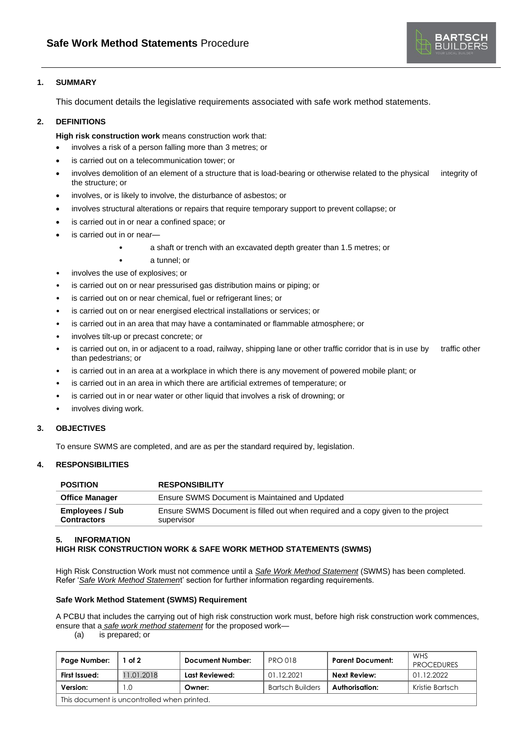

## **1. SUMMARY**

This document details the legislative requirements associated with safe work method statements.

# **2. DEFINITIONS**

**High risk construction work** means construction work that:

- involves a risk of a person falling more than 3 metres; or
- is carried out on a telecommunication tower; or
- involves demolition of an element of a structure that is load-bearing or otherwise related to the physical integrity of the structure; or
- involves, or is likely to involve, the disturbance of asbestos; or
- involves structural alterations or repairs that require temporary support to prevent collapse; or
- is carried out in or near a confined space; or
- is carried out in or near-
	- a shaft or trench with an excavated depth greater than 1.5 metres; or
	- a tunnel; or
- involves the use of explosives; or
- is carried out on or near pressurised gas distribution mains or piping; or
- is carried out on or near chemical, fuel or refrigerant lines; or
- is carried out on or near energised electrical installations or services; or
- is carried out in an area that may have a contaminated or flammable atmosphere; or
- involves tilt-up or precast concrete; or
- is carried out on, in or adjacent to a road, railway, shipping lane or other traffic corridor that is in use by traffic other than pedestrians; or
- is carried out in an area at a workplace in which there is any movement of powered mobile plant; or
- is carried out in an area in which there are artificial extremes of temperature; or
- is carried out in or near water or other liquid that involves a risk of drowning; or
- involves diving work.

## **3. OBJECTIVES**

To ensure SWMS are completed, and are as per the standard required by, legislation.

### **4. RESPONSIBILITIES**

| <b>POSITION</b>                              | <b>RESPONSIBILITY</b>                                                                          |
|----------------------------------------------|------------------------------------------------------------------------------------------------|
| <b>Office Manager</b>                        | Ensure SWMS Document is Maintained and Updated                                                 |
| <b>Employees / Sub</b><br><b>Contractors</b> | Ensure SWMS Document is filled out when required and a copy given to the project<br>supervisor |

### **5. INFORMATION**

## **HIGH RISK CONSTRUCTION WORK & SAFE WORK METHOD STATEMENTS (SWMS)**

High Risk Construction Work must not commence until a *Safe Work Method Statement* (SWMS) has been completed. Refer '*Safe Work Method Statemen*t' section for further information regarding requirements.

### **Safe Work Method Statement (SWMS) Requirement**

A PCBU that includes the carrying out of high risk construction work must, before high risk construction work commences, ensure that a *safe work method statement* for the proposed work—

(a) is prepared; or

| Page Number:                                | of 2      | <b>Document Number:</b> | <b>PRO 018</b>          | <b>Parent Document:</b> | WHS<br><b>PROCEDURES</b> |  |  |
|---------------------------------------------|-----------|-------------------------|-------------------------|-------------------------|--------------------------|--|--|
| First Issued:                               | 1.01.2018 | Last Reviewed:          | 01.12.2021              | Next Review:            | 01.12.2022               |  |  |
| Version:                                    | L.C       | Owner:                  | <b>Bartsch Builders</b> | Authorisation:          | Kristie Bartsch          |  |  |
| This document is uncontrolled when printed. |           |                         |                         |                         |                          |  |  |